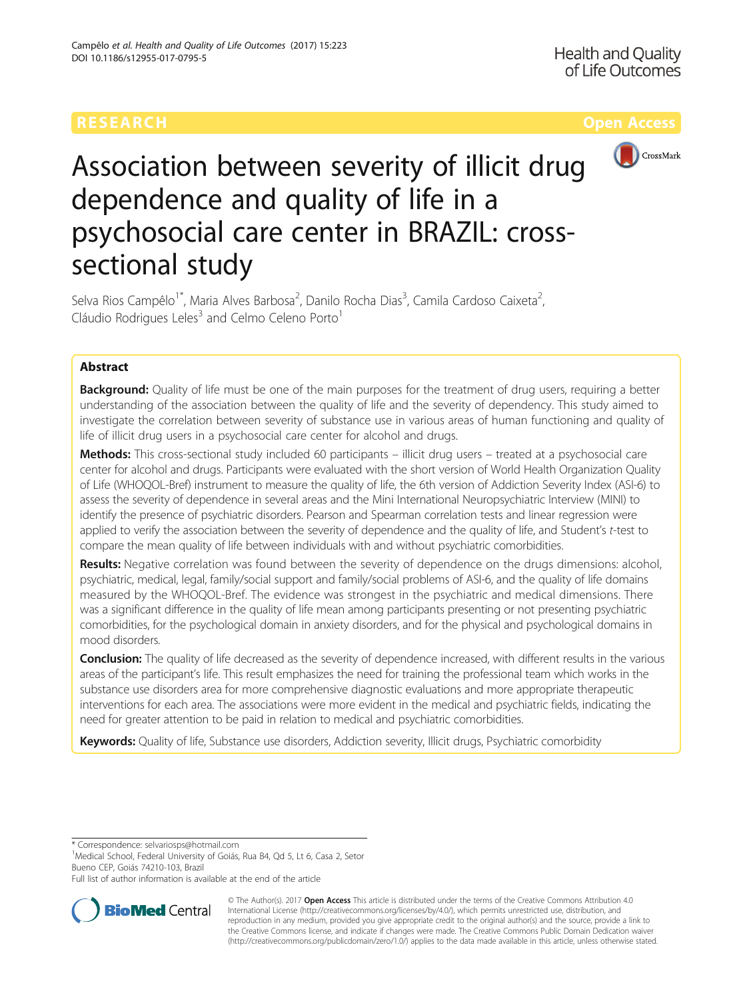

# Association between severity of illicit drug dependence and quality of life in a psychosocial care center in BRAZIL: crosssectional study

Selva Rios Campêlo<sup>1\*</sup>, Maria Alves Barbosa<sup>2</sup>, Danilo Rocha Dias<sup>3</sup>, Camila Cardoso Caixeta<sup>2</sup> , Cláudio Rodrigues Leles<sup>3</sup> and Celmo Celeno Porto<sup>1</sup>

# Abstract

**Background:** Quality of life must be one of the main purposes for the treatment of drug users, requiring a better understanding of the association between the quality of life and the severity of dependency. This study aimed to investigate the correlation between severity of substance use in various areas of human functioning and quality of life of illicit drug users in a psychosocial care center for alcohol and drugs.

Methods: This cross-sectional study included 60 participants – illicit drug users – treated at a psychosocial care center for alcohol and drugs. Participants were evaluated with the short version of World Health Organization Quality of Life (WHOQOL-Bref) instrument to measure the quality of life, the 6th version of Addiction Severity Index (ASI-6) to assess the severity of dependence in several areas and the Mini International Neuropsychiatric Interview (MINI) to identify the presence of psychiatric disorders. Pearson and Spearman correlation tests and linear regression were applied to verify the association between the severity of dependence and the quality of life, and Student's t-test to compare the mean quality of life between individuals with and without psychiatric comorbidities.

Results: Negative correlation was found between the severity of dependence on the drugs dimensions: alcohol, psychiatric, medical, legal, family/social support and family/social problems of ASI-6, and the quality of life domains measured by the WHOQOL-Bref. The evidence was strongest in the psychiatric and medical dimensions. There was a significant difference in the quality of life mean among participants presenting or not presenting psychiatric comorbidities, for the psychological domain in anxiety disorders, and for the physical and psychological domains in mood disorders.

**Conclusion:** The quality of life decreased as the severity of dependence increased, with different results in the various areas of the participant's life. This result emphasizes the need for training the professional team which works in the substance use disorders area for more comprehensive diagnostic evaluations and more appropriate therapeutic interventions for each area. The associations were more evident in the medical and psychiatric fields, indicating the need for greater attention to be paid in relation to medical and psychiatric comorbidities.

Keywords: Quality of life, Substance use disorders, Addiction severity, Illicit drugs, Psychiatric comorbidity

\* Correspondence: [selvariosps@hotmail.com](mailto:selvariosps@hotmail.com) <sup>1</sup>

<sup>1</sup>Medical School, Federal University of Goiás, Rua B4, Qd 5, Lt 6, Casa 2, Setor Bueno CEP, Goiás 74210-103, Brazil

Full list of author information is available at the end of the article



© The Author(s). 2017 **Open Access** This article is distributed under the terms of the Creative Commons Attribution 4.0 International License [\(http://creativecommons.org/licenses/by/4.0/](http://creativecommons.org/licenses/by/4.0/)), which permits unrestricted use, distribution, and reproduction in any medium, provided you give appropriate credit to the original author(s) and the source, provide a link to the Creative Commons license, and indicate if changes were made. The Creative Commons Public Domain Dedication waiver [\(http://creativecommons.org/publicdomain/zero/1.0/](http://creativecommons.org/publicdomain/zero/1.0/)) applies to the data made available in this article, unless otherwise stated.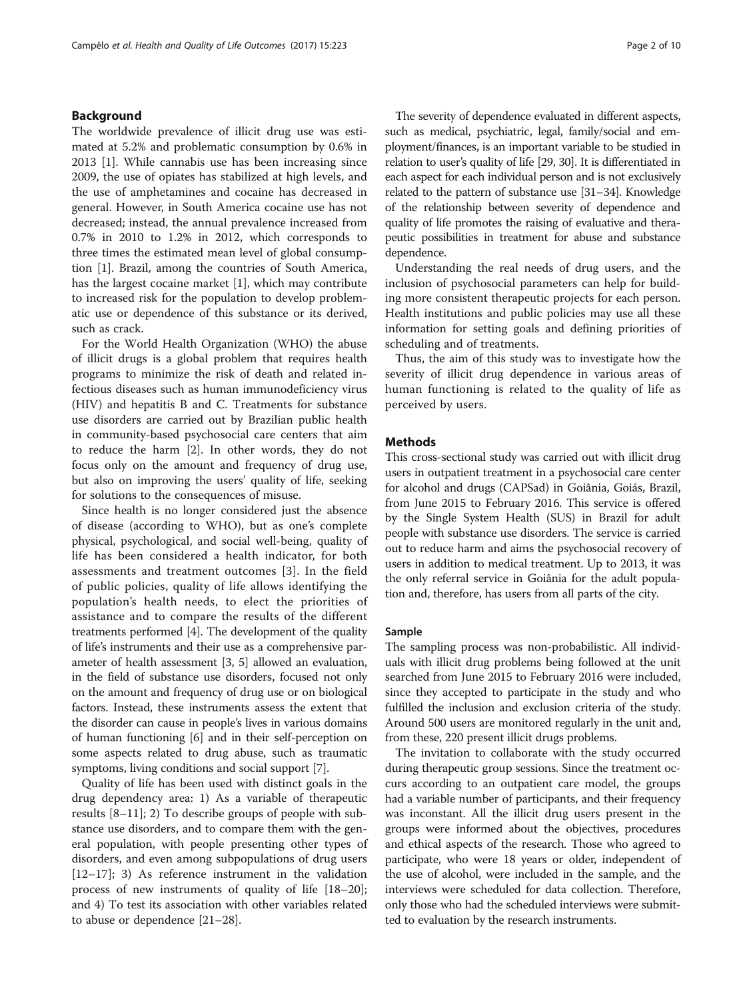# Background

The worldwide prevalence of illicit drug use was estimated at 5.2% and problematic consumption by 0.6% in 2013 [[1](#page-7-0)]. While cannabis use has been increasing since 2009, the use of opiates has stabilized at high levels, and the use of amphetamines and cocaine has decreased in general. However, in South America cocaine use has not decreased; instead, the annual prevalence increased from 0.7% in 2010 to 1.2% in 2012, which corresponds to three times the estimated mean level of global consumption [\[1\]](#page-7-0). Brazil, among the countries of South America, has the largest cocaine market [[1](#page-7-0)], which may contribute to increased risk for the population to develop problematic use or dependence of this substance or its derived, such as crack.

For the World Health Organization (WHO) the abuse of illicit drugs is a global problem that requires health programs to minimize the risk of death and related infectious diseases such as human immunodeficiency virus (HIV) and hepatitis B and C. Treatments for substance use disorders are carried out by Brazilian public health in community-based psychosocial care centers that aim to reduce the harm [[2\]](#page-7-0). In other words, they do not focus only on the amount and frequency of drug use, but also on improving the users' quality of life, seeking for solutions to the consequences of misuse.

Since health is no longer considered just the absence of disease (according to WHO), but as one's complete physical, psychological, and social well-being, quality of life has been considered a health indicator, for both assessments and treatment outcomes [\[3](#page-7-0)]. In the field of public policies, quality of life allows identifying the population's health needs, to elect the priorities of assistance and to compare the results of the different treatments performed [[4](#page-7-0)]. The development of the quality of life's instruments and their use as a comprehensive parameter of health assessment [\[3](#page-7-0), [5\]](#page-7-0) allowed an evaluation, in the field of substance use disorders, focused not only on the amount and frequency of drug use or on biological factors. Instead, these instruments assess the extent that the disorder can cause in people's lives in various domains of human functioning [\[6\]](#page-7-0) and in their self-perception on some aspects related to drug abuse, such as traumatic symptoms, living conditions and social support [[7](#page-7-0)].

Quality of life has been used with distinct goals in the drug dependency area: 1) As a variable of therapeutic results [[8](#page-7-0)–[11](#page-7-0)]; 2) To describe groups of people with substance use disorders, and to compare them with the general population, with people presenting other types of disorders, and even among subpopulations of drug users [[12](#page-7-0)–[17](#page-7-0)]; 3) As reference instrument in the validation process of new instruments of quality of life [[18](#page-7-0)–[20](#page-7-0)]; and 4) To test its association with other variables related to abuse or dependence [\[21](#page-7-0)–[28\]](#page-8-0).

The severity of dependence evaluated in different aspects, such as medical, psychiatric, legal, family/social and employment/finances, is an important variable to be studied in relation to user's quality of life [\[29, 30\]](#page-8-0). It is differentiated in each aspect for each individual person and is not exclusively related to the pattern of substance use [\[31](#page-8-0)–[34\]](#page-8-0). Knowledge of the relationship between severity of dependence and quality of life promotes the raising of evaluative and therapeutic possibilities in treatment for abuse and substance dependence.

Understanding the real needs of drug users, and the inclusion of psychosocial parameters can help for building more consistent therapeutic projects for each person. Health institutions and public policies may use all these information for setting goals and defining priorities of scheduling and of treatments.

Thus, the aim of this study was to investigate how the severity of illicit drug dependence in various areas of human functioning is related to the quality of life as perceived by users.

# Methods

This cross-sectional study was carried out with illicit drug users in outpatient treatment in a psychosocial care center for alcohol and drugs (CAPSad) in Goiânia, Goiás, Brazil, from June 2015 to February 2016. This service is offered by the Single System Health (SUS) in Brazil for adult people with substance use disorders. The service is carried out to reduce harm and aims the psychosocial recovery of users in addition to medical treatment. Up to 2013, it was the only referral service in Goiânia for the adult population and, therefore, has users from all parts of the city.

# Sample

The sampling process was non-probabilistic. All individuals with illicit drug problems being followed at the unit searched from June 2015 to February 2016 were included, since they accepted to participate in the study and who fulfilled the inclusion and exclusion criteria of the study. Around 500 users are monitored regularly in the unit and, from these, 220 present illicit drugs problems.

The invitation to collaborate with the study occurred during therapeutic group sessions. Since the treatment occurs according to an outpatient care model, the groups had a variable number of participants, and their frequency was inconstant. All the illicit drug users present in the groups were informed about the objectives, procedures and ethical aspects of the research. Those who agreed to participate, who were 18 years or older, independent of the use of alcohol, were included in the sample, and the interviews were scheduled for data collection. Therefore, only those who had the scheduled interviews were submitted to evaluation by the research instruments.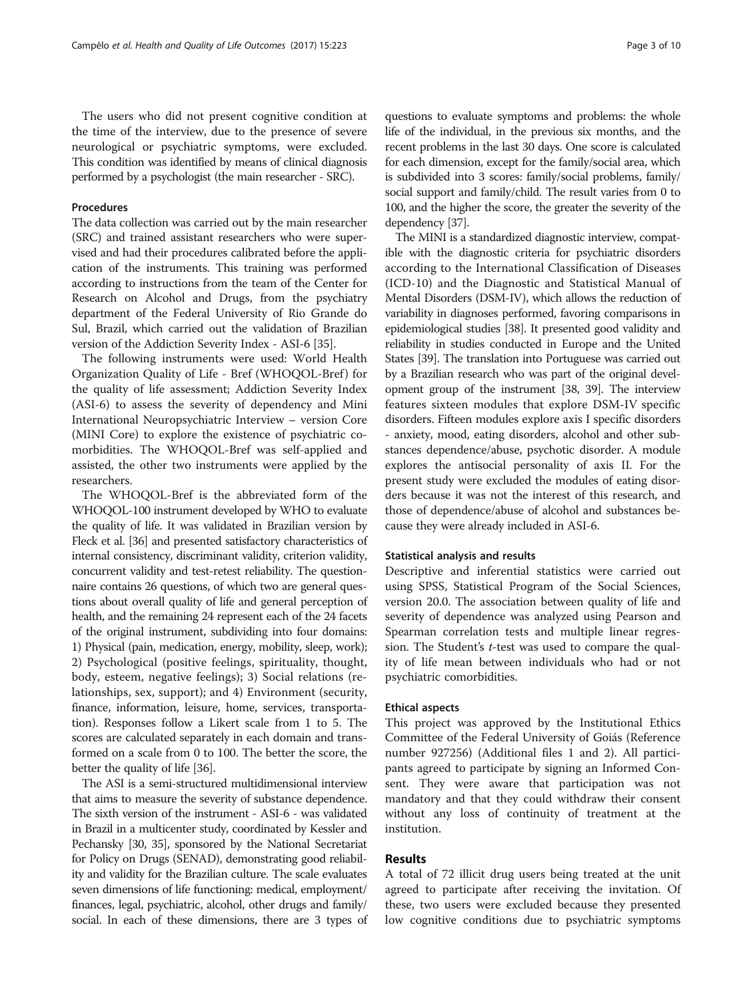The users who did not present cognitive condition at the time of the interview, due to the presence of severe neurological or psychiatric symptoms, were excluded. This condition was identified by means of clinical diagnosis performed by a psychologist (the main researcher - SRC).

# Procedures

The data collection was carried out by the main researcher (SRC) and trained assistant researchers who were supervised and had their procedures calibrated before the application of the instruments. This training was performed according to instructions from the team of the Center for Research on Alcohol and Drugs, from the psychiatry department of the Federal University of Rio Grande do Sul, Brazil, which carried out the validation of Brazilian version of the Addiction Severity Index - ASI-6 [\[35\]](#page-8-0).

The following instruments were used: World Health Organization Quality of Life - Bref (WHOQOL-Bref) for the quality of life assessment; Addiction Severity Index (ASI-6) to assess the severity of dependency and Mini International Neuropsychiatric Interview – version Core (MINI Core) to explore the existence of psychiatric comorbidities. The WHOQOL-Bref was self-applied and assisted, the other two instruments were applied by the researchers.

The WHOQOL-Bref is the abbreviated form of the WHOQOL-100 instrument developed by WHO to evaluate the quality of life. It was validated in Brazilian version by Fleck et al. [[36](#page-8-0)] and presented satisfactory characteristics of internal consistency, discriminant validity, criterion validity, concurrent validity and test-retest reliability. The questionnaire contains 26 questions, of which two are general questions about overall quality of life and general perception of health, and the remaining 24 represent each of the 24 facets of the original instrument, subdividing into four domains: 1) Physical (pain, medication, energy, mobility, sleep, work); 2) Psychological (positive feelings, spirituality, thought, body, esteem, negative feelings); 3) Social relations (relationships, sex, support); and 4) Environment (security, finance, information, leisure, home, services, transportation). Responses follow a Likert scale from 1 to 5. The scores are calculated separately in each domain and transformed on a scale from 0 to 100. The better the score, the better the quality of life [[36](#page-8-0)].

The ASI is a semi-structured multidimensional interview that aims to measure the severity of substance dependence. The sixth version of the instrument - ASI-6 - was validated in Brazil in a multicenter study, coordinated by Kessler and Pechansky [[30, 35](#page-8-0)], sponsored by the National Secretariat for Policy on Drugs (SENAD), demonstrating good reliability and validity for the Brazilian culture. The scale evaluates seven dimensions of life functioning: medical, employment/ finances, legal, psychiatric, alcohol, other drugs and family/ social. In each of these dimensions, there are 3 types of

questions to evaluate symptoms and problems: the whole life of the individual, in the previous six months, and the recent problems in the last 30 days. One score is calculated for each dimension, except for the family/social area, which is subdivided into 3 scores: family/social problems, family/ social support and family/child. The result varies from 0 to 100, and the higher the score, the greater the severity of the dependency [\[37](#page-8-0)].

The MINI is a standardized diagnostic interview, compatible with the diagnostic criteria for psychiatric disorders according to the International Classification of Diseases (ICD-10) and the Diagnostic and Statistical Manual of Mental Disorders (DSM-IV), which allows the reduction of variability in diagnoses performed, favoring comparisons in epidemiological studies [\[38\]](#page-8-0). It presented good validity and reliability in studies conducted in Europe and the United States [\[39\]](#page-8-0). The translation into Portuguese was carried out by a Brazilian research who was part of the original development group of the instrument [\[38, 39\]](#page-8-0). The interview features sixteen modules that explore DSM-IV specific disorders. Fifteen modules explore axis I specific disorders - anxiety, mood, eating disorders, alcohol and other substances dependence/abuse, psychotic disorder. A module explores the antisocial personality of axis II. For the present study were excluded the modules of eating disorders because it was not the interest of this research, and those of dependence/abuse of alcohol and substances because they were already included in ASI-6.

## Statistical analysis and results

Descriptive and inferential statistics were carried out using SPSS, Statistical Program of the Social Sciences, version 20.0. The association between quality of life and severity of dependence was analyzed using Pearson and Spearman correlation tests and multiple linear regression. The Student's t-test was used to compare the quality of life mean between individuals who had or not psychiatric comorbidities.

# Ethical aspects

This project was approved by the Institutional Ethics Committee of the Federal University of Goiás (Reference number 927256) (Additional files [1](#page-6-0) and [2\)](#page-6-0). All participants agreed to participate by signing an Informed Consent. They were aware that participation was not mandatory and that they could withdraw their consent without any loss of continuity of treatment at the institution.

# Results

A total of 72 illicit drug users being treated at the unit agreed to participate after receiving the invitation. Of these, two users were excluded because they presented low cognitive conditions due to psychiatric symptoms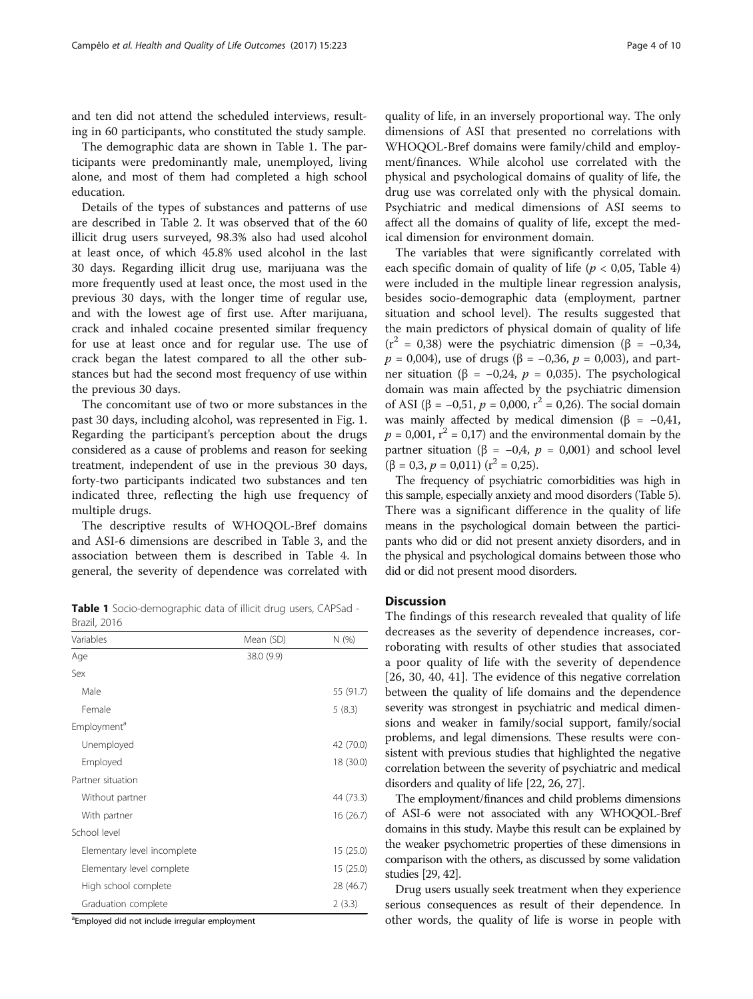and ten did not attend the scheduled interviews, resulting in 60 participants, who constituted the study sample.

The demographic data are shown in Table 1. The participants were predominantly male, unemployed, living alone, and most of them had completed a high school education.

Details of the types of substances and patterns of use are described in Table [2.](#page-4-0) It was observed that of the 60 illicit drug users surveyed, 98.3% also had used alcohol at least once, of which 45.8% used alcohol in the last 30 days. Regarding illicit drug use, marijuana was the more frequently used at least once, the most used in the previous 30 days, with the longer time of regular use, and with the lowest age of first use. After marijuana, crack and inhaled cocaine presented similar frequency for use at least once and for regular use. The use of crack began the latest compared to all the other substances but had the second most frequency of use within the previous 30 days.

The concomitant use of two or more substances in the past 30 days, including alcohol, was represented in Fig. [1](#page-4-0). Regarding the participant's perception about the drugs considered as a cause of problems and reason for seeking treatment, independent of use in the previous 30 days, forty-two participants indicated two substances and ten indicated three, reflecting the high use frequency of multiple drugs.

The descriptive results of WHOQOL-Bref domains and ASI-6 dimensions are described in Table [3](#page-4-0), and the association between them is described in Table [4](#page-5-0). In general, the severity of dependence was correlated with

Table 1 Socio-demographic data of illicit drug users, CAPSad -Brazil, 2016

| Variables                   | Mean (SD)  | N(%)      |
|-----------------------------|------------|-----------|
| Age                         | 38.0 (9.9) |           |
| Sex                         |            |           |
| Male                        |            | 55 (91.7) |
| Female                      |            | 5(8.3)    |
| Employment <sup>a</sup>     |            |           |
| Unemployed                  |            | 42 (70.0) |
| Employed                    |            | 18 (30.0) |
| Partner situation           |            |           |
| Without partner             |            | 44 (73.3) |
| With partner                |            | 16(26.7)  |
| School level                |            |           |
| Elementary level incomplete |            | 15(25.0)  |
| Elementary level complete   |            | 15(25.0)  |
| High school complete        |            | 28 (46.7) |
| Graduation complete         |            | 2(3.3)    |

<sup>a</sup>Employed did not include irregular employment

quality of life, in an inversely proportional way. The only dimensions of ASI that presented no correlations with WHOQOL-Bref domains were family/child and employment/finances. While alcohol use correlated with the physical and psychological domains of quality of life, the drug use was correlated only with the physical domain. Psychiatric and medical dimensions of ASI seems to affect all the domains of quality of life, except the medical dimension for environment domain.

The variables that were significantly correlated with each specific domain of quality of life ( $p < 0.05$ , Table [4](#page-5-0)) were included in the multiple linear regression analysis, besides socio-demographic data (employment, partner situation and school level). The results suggested that the main predictors of physical domain of quality of life ( $r^2$  = 0,38) were the psychiatric dimension ( $\beta$  = -0,34,  $p = 0,004$ , use of drugs ( $\beta = -0,36$ ,  $p = 0,003$ ), and partner situation (β = −0,24,  $p = 0,035$ ). The psychological domain was main affected by the psychiatric dimension of ASI (β = -0,51,  $p = 0,000$ ,  $r^2 = 0,26$ ). The social domain was mainly affected by medical dimension ( $\beta$  = -0,41,  $p = 0.001$ ,  $r^2 = 0.17$ ) and the environmental domain by the partner situation (β = -0,4,  $p = 0,001$ ) and school level ( $\beta = 0.3$ ,  $p = 0.011$ ) ( $r^2 = 0.25$ ).

The frequency of psychiatric comorbidities was high in this sample, especially anxiety and mood disorders (Table [5](#page-5-0)). There was a significant difference in the quality of life means in the psychological domain between the participants who did or did not present anxiety disorders, and in the physical and psychological domains between those who did or did not present mood disorders.

# **Discussion**

The findings of this research revealed that quality of life decreases as the severity of dependence increases, corroborating with results of other studies that associated a poor quality of life with the severity of dependence [[26, 30, 40](#page-8-0), [41\]](#page-8-0). The evidence of this negative correlation between the quality of life domains and the dependence severity was strongest in psychiatric and medical dimensions and weaker in family/social support, family/social problems, and legal dimensions. These results were consistent with previous studies that highlighted the negative correlation between the severity of psychiatric and medical disorders and quality of life [\[22,](#page-7-0) [26](#page-8-0), [27\]](#page-8-0).

The employment/finances and child problems dimensions of ASI-6 were not associated with any WHOQOL-Bref domains in this study. Maybe this result can be explained by the weaker psychometric properties of these dimensions in comparison with the others, as discussed by some validation studies [[29](#page-8-0), [42\]](#page-8-0).

Drug users usually seek treatment when they experience serious consequences as result of their dependence. In other words, the quality of life is worse in people with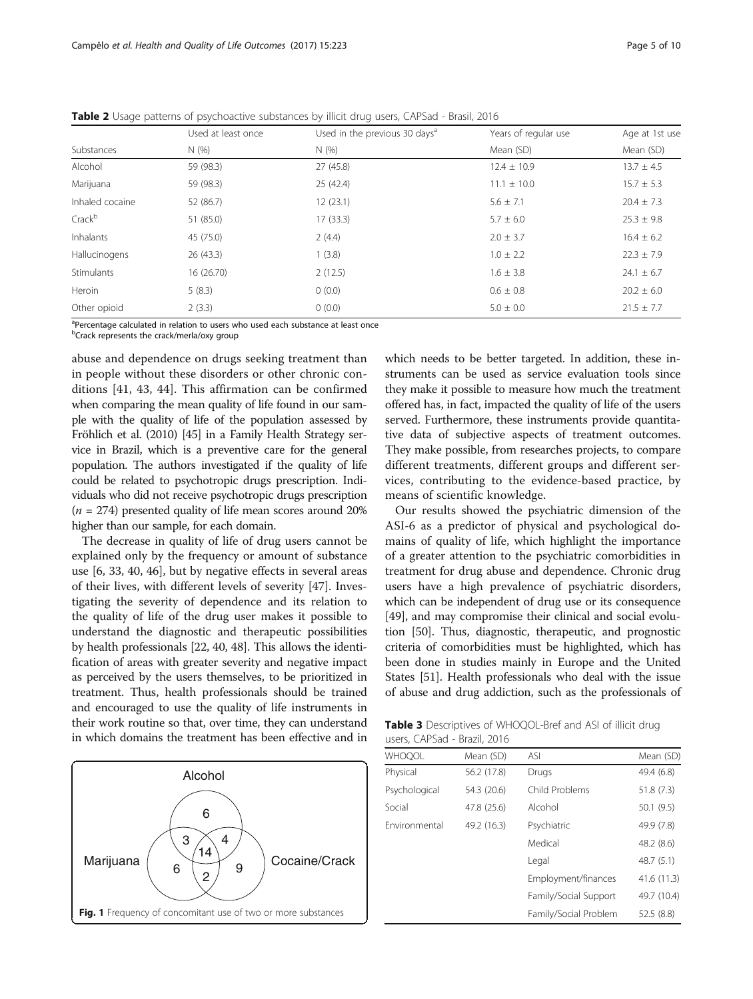|                   | Used at least once | Used in the previous 30 days <sup>a</sup> | Years of regular use | Age at 1st use |
|-------------------|--------------------|-------------------------------------------|----------------------|----------------|
| Substances        | N(%                | N(% )                                     | Mean (SD)            | Mean (SD)      |
| Alcohol           | 59 (98.3)          | 27(45.8)                                  | $12.4 \pm 10.9$      | $13.7 \pm 4.5$ |
| Marijuana         | 59 (98.3)          | 25(42.4)                                  | $11.1 \pm 10.0$      | $15.7 \pm 5.3$ |
| Inhaled cocaine   | 52 (86.7)          | 12(23.1)                                  | $5.6 \pm 7.1$        | $20.4 \pm 7.3$ |
| Crackb            | 51 (85.0)          | 17(33.3)                                  | $5.7 \pm 6.0$        | $25.3 \pm 9.8$ |
| Inhalants         | 45 (75.0)          | 2(4.4)                                    | $2.0 \pm 3.7$        | $16.4 \pm 6.2$ |
| Hallucinogens     | 26(43.3)           | 1(3.8)                                    | $1.0 \pm 2.2$        | $22.3 \pm 7.9$ |
| <b>Stimulants</b> | 16(26.70)          | 2(12.5)                                   | $1.6 \pm 3.8$        | $24.1 \pm 6.7$ |
| Heroin            | 5(8.3)             | 0(0.0)                                    | $0.6 + 0.8$          | $20.2 \pm 6.0$ |
| Other opioid      | 2(3.3)             | 0(0.0)                                    | $5.0 \pm 0.0$        | $21.5 \pm 7.7$ |

<span id="page-4-0"></span>Table 2 Usage patterns of psychoactive substances by illicit drug users, CAPSad - Brasil, 2016

<sup>a</sup>Percentage calculated in relation to users who used each substance at least once

<sup>b</sup>Crack represents the crack/merla/oxy group

abuse and dependence on drugs seeking treatment than in people without these disorders or other chronic conditions [\[41](#page-8-0), [43](#page-8-0), [44](#page-8-0)]. This affirmation can be confirmed when comparing the mean quality of life found in our sample with the quality of life of the population assessed by Fröhlich et al. (2010) [\[45](#page-8-0)] in a Family Health Strategy service in Brazil, which is a preventive care for the general population. The authors investigated if the quality of life could be related to psychotropic drugs prescription. Individuals who did not receive psychotropic drugs prescription  $(n = 274)$  presented quality of life mean scores around 20% higher than our sample, for each domain.

The decrease in quality of life of drug users cannot be explained only by the frequency or amount of substance use [\[6](#page-7-0), [33](#page-8-0), [40, 46\]](#page-8-0), but by negative effects in several areas of their lives, with different levels of severity [\[47\]](#page-8-0). Investigating the severity of dependence and its relation to the quality of life of the drug user makes it possible to understand the diagnostic and therapeutic possibilities by health professionals [[22](#page-7-0), [40, 48\]](#page-8-0). This allows the identification of areas with greater severity and negative impact as perceived by the users themselves, to be prioritized in treatment. Thus, health professionals should be trained and encouraged to use the quality of life instruments in their work routine so that, over time, they can understand in which domains the treatment has been effective and in



which needs to be better targeted. In addition, these instruments can be used as service evaluation tools since they make it possible to measure how much the treatment offered has, in fact, impacted the quality of life of the users served. Furthermore, these instruments provide quantitative data of subjective aspects of treatment outcomes. They make possible, from researches projects, to compare different treatments, different groups and different services, contributing to the evidence-based practice, by means of scientific knowledge.

Our results showed the psychiatric dimension of the ASI-6 as a predictor of physical and psychological domains of quality of life, which highlight the importance of a greater attention to the psychiatric comorbidities in treatment for drug abuse and dependence. Chronic drug users have a high prevalence of psychiatric disorders, which can be independent of drug use or its consequence [[49](#page-8-0)], and may compromise their clinical and social evolution [[50](#page-8-0)]. Thus, diagnostic, therapeutic, and prognostic criteria of comorbidities must be highlighted, which has been done in studies mainly in Europe and the United States [\[51\]](#page-8-0). Health professionals who deal with the issue of abuse and drug addiction, such as the professionals of

| Table 3 Descriptives of WHOQOL-Bref and ASI of illicit drug |  |  |  |
|-------------------------------------------------------------|--|--|--|
| users, CAPSad - Brazil, 2016                                |  |  |  |

| users, Capsag - Brazil, 2016 |             |                       |             |  |  |
|------------------------------|-------------|-----------------------|-------------|--|--|
| <b>WHOOOL</b>                | Mean (SD)   | <b>ASI</b>            | Mean (SD)   |  |  |
| Physical                     | 56.2 (17.8) | Drugs                 | 49.4 (6.8)  |  |  |
| Psychological                | 54.3 (20.6) | Child Problems        | 51.8 (7.3)  |  |  |
| Social                       | 47.8 (25.6) | Alcohol               | 50.1(9.5)   |  |  |
| <b>Fnvironmental</b>         | 49.2 (16.3) | Psychiatric           | 49.9 (7.8)  |  |  |
|                              |             | Medical               | 48.2 (8.6)  |  |  |
|                              |             | Legal                 | 48.7 (5.1)  |  |  |
|                              |             | Employment/finances   | 41.6(11.3)  |  |  |
|                              |             | Family/Social Support | 49.7 (10.4) |  |  |
|                              |             | Family/Social Problem | 52.5 (8.8)  |  |  |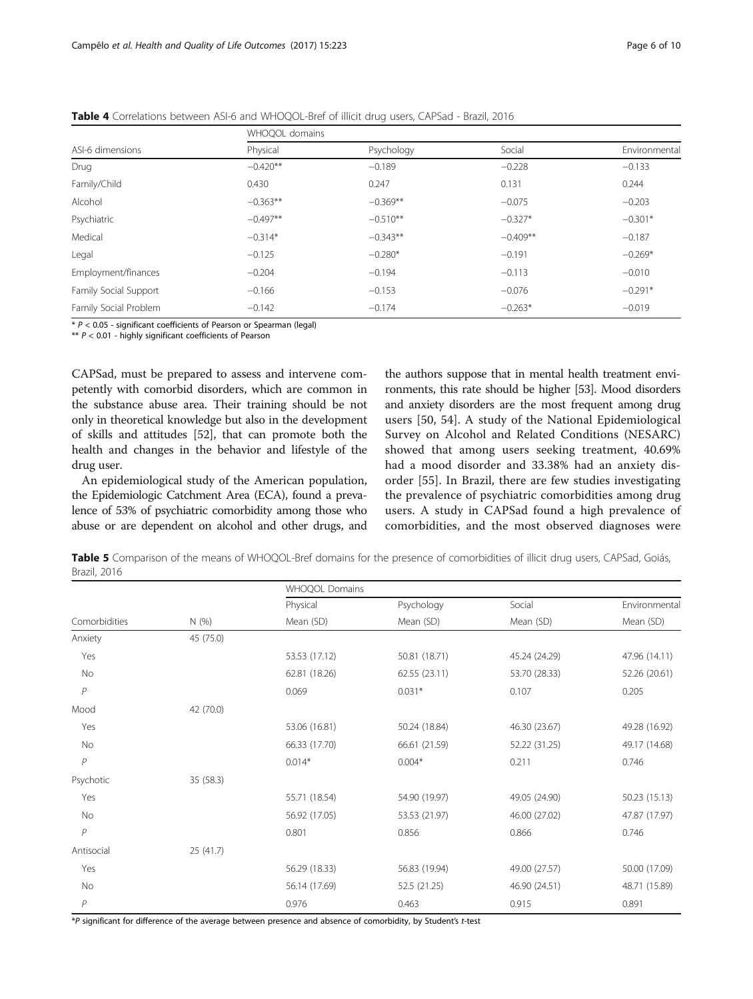|                       | WHOOOL domains |            |            |               |
|-----------------------|----------------|------------|------------|---------------|
| ASI-6 dimensions      | Physical       | Psychology | Social     | Environmental |
| Drug                  | $-0.420**$     | $-0.189$   | $-0.228$   | $-0.133$      |
| Family/Child          | 0.430          | 0.247      | 0.131      | 0.244         |
| Alcohol               | $-0.363**$     | $-0.369**$ | $-0.075$   | $-0.203$      |
| Psychiatric           | $-0.497**$     | $-0.510**$ | $-0.327*$  | $-0.301*$     |
| Medical               | $-0.314*$      | $-0.343**$ | $-0.409**$ | $-0.187$      |
| Legal                 | $-0.125$       | $-0.280*$  | $-0.191$   | $-0.269*$     |
| Employment/finances   | $-0.204$       | $-0.194$   | $-0.113$   | $-0.010$      |
| Family Social Support | $-0.166$       | $-0.153$   | $-0.076$   | $-0.291*$     |
| Family Social Problem | $-0.142$       | $-0.174$   | $-0.263*$  | $-0.019$      |

<span id="page-5-0"></span>Table 4 Correlations between ASI-6 and WHOQOL-Bref of illicit drug users, CAPSad - Brazil, 2016

 $* P < 0.05$  - significant coefficients of Pearson or Spearman (legal)

\*\* P < 0.01 - highly significant coefficients of Pearson

CAPSad, must be prepared to assess and intervene competently with comorbid disorders, which are common in the substance abuse area. Their training should be not only in theoretical knowledge but also in the development of skills and attitudes [\[52\]](#page-8-0), that can promote both the health and changes in the behavior and lifestyle of the drug user.

An epidemiological study of the American population, the Epidemiologic Catchment Area (ECA), found a prevalence of 53% of psychiatric comorbidity among those who abuse or are dependent on alcohol and other drugs, and the authors suppose that in mental health treatment environments, this rate should be higher [[53](#page-9-0)]. Mood disorders and anxiety disorders are the most frequent among drug users [[50](#page-8-0), [54\]](#page-9-0). A study of the National Epidemiological Survey on Alcohol and Related Conditions (NESARC) showed that among users seeking treatment, 40.69% had a mood disorder and 33.38% had an anxiety disorder [[55\]](#page-9-0). In Brazil, there are few studies investigating the prevalence of psychiatric comorbidities among drug users. A study in CAPSad found a high prevalence of comorbidities, and the most observed diagnoses were

Table 5 Comparison of the means of WHOQOL-Bref domains for the presence of comorbidities of illicit drug users, CAPSad, Goiás, Brazil, 2016

|               |           | WHOQOL Domains |               |               |               |  |
|---------------|-----------|----------------|---------------|---------------|---------------|--|
|               |           | Physical       | Psychology    | Social        | Environmental |  |
| Comorbidities | N(%)      | Mean (SD)      | Mean (SD)     | Mean (SD)     | Mean (SD)     |  |
| Anxiety       | 45 (75.0) |                |               |               |               |  |
| Yes           |           | 53.53 (17.12)  | 50.81 (18.71) | 45.24 (24.29) | 47.96 (14.11) |  |
| No            |           | 62.81 (18.26)  | 62.55 (23.11) | 53.70 (28.33) | 52.26 (20.61) |  |
| $\mathcal P$  |           | 0.069          | $0.031*$      | 0.107         | 0.205         |  |
| Mood          | 42 (70.0) |                |               |               |               |  |
| Yes           |           | 53.06 (16.81)  | 50.24 (18.84) | 46.30 (23.67) | 49.28 (16.92) |  |
| No            |           | 66.33 (17.70)  | 66.61 (21.59) | 52.22 (31.25) | 49.17 (14.68) |  |
| $\mathcal P$  |           | $0.014*$       | $0.004*$      | 0.211         | 0.746         |  |
| Psychotic     | 35 (58.3) |                |               |               |               |  |
| Yes           |           | 55.71 (18.54)  | 54.90 (19.97) | 49.05 (24.90) | 50.23 (15.13) |  |
| No            |           | 56.92 (17.05)  | 53.53 (21.97) | 46.00 (27.02) | 47.87 (17.97) |  |
| $\mathcal P$  |           | 0.801          | 0.856         | 0.866         | 0.746         |  |
| Antisocial    | 25(41.7)  |                |               |               |               |  |
| Yes           |           | 56.29 (18.33)  | 56.83 (19.94) | 49.00 (27.57) | 50.00 (17.09) |  |
| No            |           | 56.14 (17.69)  | 52.5 (21.25)  | 46.90 (24.51) | 48.71 (15.89) |  |
| P             |           | 0.976          | 0.463         | 0.915         | 0.891         |  |

\*P significant for difference of the average between presence and absence of comorbidity, by Student's t-test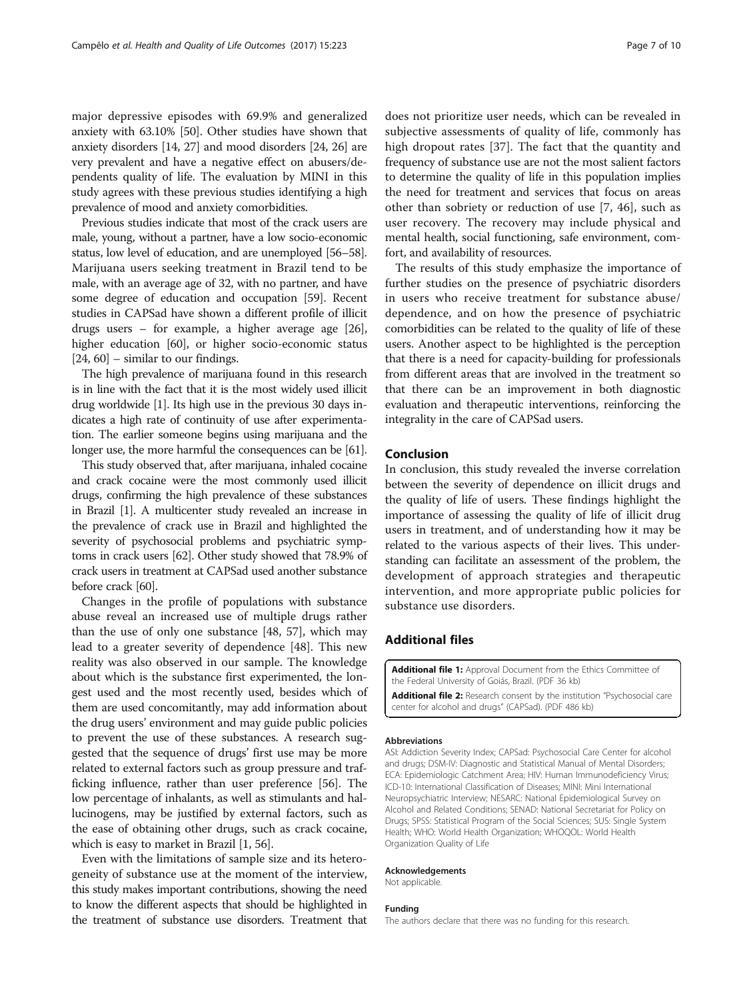<span id="page-6-0"></span>major depressive episodes with 69.9% and generalized anxiety with 63.10% [\[50](#page-8-0)]. Other studies have shown that anxiety disorders [[14](#page-7-0), [27](#page-8-0)] and mood disorders [[24](#page-8-0), [26](#page-8-0)] are very prevalent and have a negative effect on abusers/dependents quality of life. The evaluation by MINI in this study agrees with these previous studies identifying a high prevalence of mood and anxiety comorbidities.

Previous studies indicate that most of the crack users are male, young, without a partner, have a low socio-economic status, low level of education, and are unemployed [[56](#page-9-0)–[58](#page-9-0)]. Marijuana users seeking treatment in Brazil tend to be male, with an average age of 32, with no partner, and have some degree of education and occupation [\[59\]](#page-9-0). Recent studies in CAPSad have shown a different profile of illicit drugs users – for example, a higher average age [[26](#page-8-0)], higher education [[60](#page-9-0)], or higher socio-economic status  $[24, 60]$  $[24, 60]$  $[24, 60]$  $[24, 60]$  – similar to our findings.

The high prevalence of marijuana found in this research is in line with the fact that it is the most widely used illicit drug worldwide [\[1](#page-7-0)]. Its high use in the previous 30 days indicates a high rate of continuity of use after experimentation. The earlier someone begins using marijuana and the longer use, the more harmful the consequences can be [\[61](#page-9-0)].

This study observed that, after marijuana, inhaled cocaine and crack cocaine were the most commonly used illicit drugs, confirming the high prevalence of these substances in Brazil [[1\]](#page-7-0). A multicenter study revealed an increase in the prevalence of crack use in Brazil and highlighted the severity of psychosocial problems and psychiatric symptoms in crack users [\[62\]](#page-9-0). Other study showed that 78.9% of crack users in treatment at CAPSad used another substance before crack [\[60\]](#page-9-0).

Changes in the profile of populations with substance abuse reveal an increased use of multiple drugs rather than the use of only one substance [[48,](#page-8-0) [57](#page-9-0)], which may lead to a greater severity of dependence [[48\]](#page-8-0). This new reality was also observed in our sample. The knowledge about which is the substance first experimented, the longest used and the most recently used, besides which of them are used concomitantly, may add information about the drug users' environment and may guide public policies to prevent the use of these substances. A research suggested that the sequence of drugs' first use may be more related to external factors such as group pressure and trafficking influence, rather than user preference [\[56\]](#page-9-0). The low percentage of inhalants, as well as stimulants and hallucinogens, may be justified by external factors, such as the ease of obtaining other drugs, such as crack cocaine, which is easy to market in Brazil [\[1,](#page-7-0) [56](#page-9-0)].

Even with the limitations of sample size and its heterogeneity of substance use at the moment of the interview, this study makes important contributions, showing the need to know the different aspects that should be highlighted in the treatment of substance use disorders. Treatment that

does not prioritize user needs, which can be revealed in subjective assessments of quality of life, commonly has high dropout rates [[37](#page-8-0)]. The fact that the quantity and frequency of substance use are not the most salient factors to determine the quality of life in this population implies the need for treatment and services that focus on areas other than sobriety or reduction of use [[7,](#page-7-0) [46](#page-8-0)], such as user recovery. The recovery may include physical and mental health, social functioning, safe environment, comfort, and availability of resources.

The results of this study emphasize the importance of further studies on the presence of psychiatric disorders in users who receive treatment for substance abuse/ dependence, and on how the presence of psychiatric comorbidities can be related to the quality of life of these users. Another aspect to be highlighted is the perception that there is a need for capacity-building for professionals from different areas that are involved in the treatment so that there can be an improvement in both diagnostic evaluation and therapeutic interventions, reinforcing the integrality in the care of CAPSad users.

# Conclusion

In conclusion, this study revealed the inverse correlation between the severity of dependence on illicit drugs and the quality of life of users. These findings highlight the importance of assessing the quality of life of illicit drug users in treatment, and of understanding how it may be related to the various aspects of their lives. This understanding can facilitate an assessment of the problem, the development of approach strategies and therapeutic intervention, and more appropriate public policies for substance use disorders.

# Additional files

[Additional file 1:](dx.doi.org/10.1186/s12955-017-0795-5) Approval Document from the Ethics Committee of the Federal University of Goiás, Brazil. (PDF 36 kb)

[Additional file 2:](dx.doi.org/10.1186/s12955-017-0795-5) Research consent by the institution "Psychosocial care center for alcohol and drugs" (CAPSad). (PDF 486 kb)

#### Abbreviations

ASI: Addiction Severity Index; CAPSad: Psychosocial Care Center for alcohol and drugs; DSM-IV: Diagnostic and Statistical Manual of Mental Disorders; ECA: Epidemiologic Catchment Area; HIV: Human Immunodeficiency Virus; ICD-10: International Classification of Diseases; MINI: Mini International Neuropsychiatric Interview; NESARC: National Epidemiological Survey on Alcohol and Related Conditions; SENAD: National Secretariat for Policy on Drugs; SPSS: Statistical Program of the Social Sciences; SUS: Single System Health; WHO: World Health Organization; WHOQOL: World Health Organization Quality of Life

#### Acknowledgements

Not applicable.

#### Funding

The authors declare that there was no funding for this research.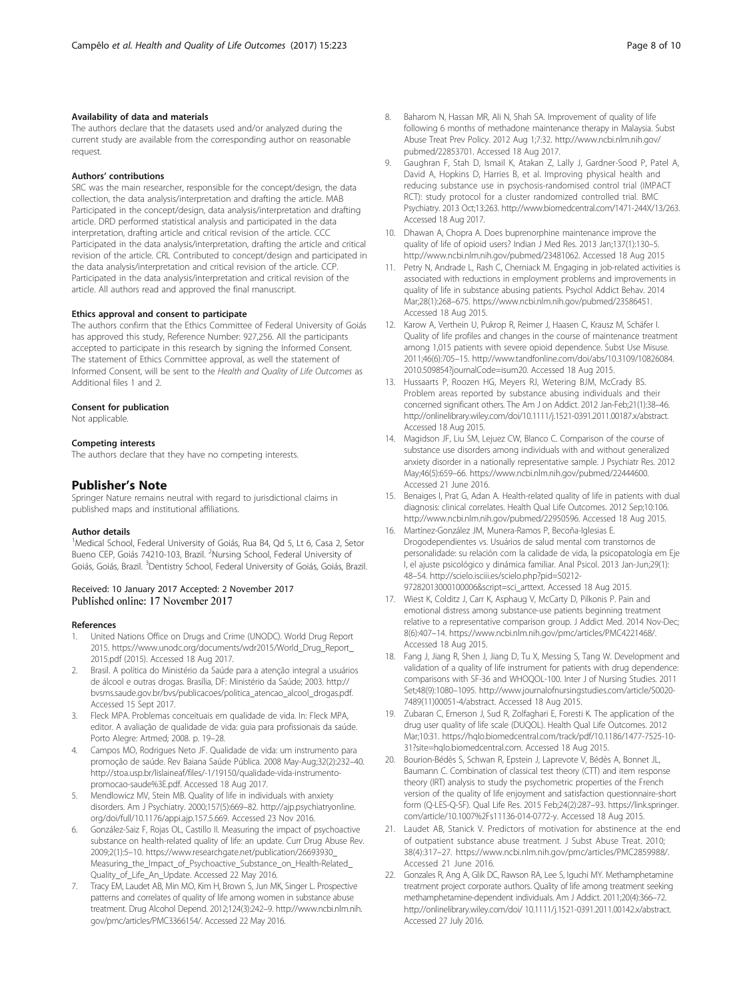## <span id="page-7-0"></span>Availability of data and materials

The authors declare that the datasets used and/or analyzed during the current study are available from the corresponding author on reasonable request.

#### Authors' contributions

SRC was the main researcher, responsible for the concept/design, the data collection, the data analysis/interpretation and drafting the article. MAB Participated in the concept/design, data analysis/interpretation and drafting article. DRD performed statistical analysis and participated in the data interpretation, drafting article and critical revision of the article. CCC Participated in the data analysis/interpretation, drafting the article and critical revision of the article. CRL Contributed to concept/design and participated in the data analysis/interpretation and critical revision of the article. CCP. Participated in the data analysis/interpretation and critical revision of the article. All authors read and approved the final manuscript.

#### Ethics approval and consent to participate

The authors confirm that the Ethics Committee of Federal University of Goiás has approved this study, Reference Number: 927,256. All the participants accepted to participate in this research by signing the Informed Consent. The statement of Ethics Committee approval, as well the statement of Informed Consent, will be sent to the Health and Quality of Life Outcomes as Additional files [1](#page-6-0) and [2.](#page-6-0)

#### Consent for publication

Not applicable.

#### Competing interests

The authors declare that they have no competing interests.

#### Publisher's Note

Springer Nature remains neutral with regard to jurisdictional claims in published maps and institutional affiliations.

#### Author details

<sup>1</sup>Medical School, Federal University of Goiás, Rua B4, Qd 5, Lt 6, Casa 2, Setor Bueno CEP, Goiás 74210-103, Brazil. <sup>2</sup>Nursing School, Federal University of Goiás, Goiás, Brazil. <sup>3</sup>Dentistry School, Federal University of Goiás, Goiás, Brazil.

## Received: 10 January 2017 Accepted: 2 November 2017 Published online: 17 November 2017

#### References

- 1. United Nations Office on Drugs and Crime (UNODC). World Drug Report 2015. [https://www.unodc.org/documents/wdr2015/World\\_Drug\\_Report\\_](https://www.unodc.org/documents/wdr2015/World_Drug_Report_2015.pdf) [2015.pdf](https://www.unodc.org/documents/wdr2015/World_Drug_Report_2015.pdf) (2015). Accessed 18 Aug 2017.
- 2. Brasil. A política do Ministério da Saúde para a atenção integral a usuários de álcool e outras drogas. Brasília, DF: Ministério da Saúde; 2003. [http://](http://bvsms.saude.gov.br/bvs/publicacoes/politica_atencao_alcool_drogas.pdf) [bvsms.saude.gov.br/bvs/publicacoes/politica\\_atencao\\_alcool\\_drogas.pdf](http://bvsms.saude.gov.br/bvs/publicacoes/politica_atencao_alcool_drogas.pdf). Accessed 15 Sept 2017.
- 3. Fleck MPA. Problemas conceituais em qualidade de vida. In: Fleck MPA, editor. A avaliação de qualidade de vida: guia para profissionais da saúde. Porto Alegre: Artmed; 2008. p. 19–28.
- 4. Campos MO, Rodrigues Neto JF. Qualidade de vida: um instrumento para promoção de saúde. Rev Baiana Saúde Pública. 2008 May-Aug;32(2):232–40. [http://stoa.usp.br/lislaineaf/files/-1/19150/qualidade-vida-instrumento](http://stoa.usp.br/lislaineaf/files/-1/19150/qualidade-vida-instrumento-promocao-saude%3E.pdf)[promocao-saude%3E.pdf.](http://stoa.usp.br/lislaineaf/files/-1/19150/qualidade-vida-instrumento-promocao-saude%3E.pdf) Accessed 18 Aug 2017.
- 5. Mendlowicz MV, Stein MB. Quality of life in individuals with anxiety disorders. Am J Psychiatry. 2000;157(5):669–82. [http://ajp.psychiatryonline.](http://ajp.psychiatryonline.org/doi/full/10.1176/appi.ajp.157.5.669) [org/doi/full/10.1176/appi.ajp.157.5.669](http://ajp.psychiatryonline.org/doi/full/10.1176/appi.ajp.157.5.669). Accessed 23 Nov 2016.
- 6. González-Saiz F, Rojas OL, Castillo II. Measuring the impact of psychoactive substance on health-related quality of life: an update. Curr Drug Abuse Rev. 2009;2(1):5–10. [https://www.researchgate.net/publication/26693930\\_](https://www.researchgate.net/publication/26693930_Measuring_the_Impact_of_Psychoactive_Substance_on_Health-Related_Quality_of_Life_An_Update) [Measuring\\_the\\_Impact\\_of\\_Psychoactive\\_Substance\\_on\\_Health-Related\\_](https://www.researchgate.net/publication/26693930_Measuring_the_Impact_of_Psychoactive_Substance_on_Health-Related_Quality_of_Life_An_Update) [Quality\\_of\\_Life\\_An\\_Update](https://www.researchgate.net/publication/26693930_Measuring_the_Impact_of_Psychoactive_Substance_on_Health-Related_Quality_of_Life_An_Update). Accessed 22 May 2016.
- 7. Tracy EM, Laudet AB, Min MO, Kim H, Brown S, Jun MK, Singer L. Prospective patterns and correlates of quality of life among women in substance abuse treatment. Drug Alcohol Depend. 2012;124(3):242–9. [http://www.ncbi.nlm.nih.](http://www.ncbi.nlm.nih.gov/pmc/articles/PMC3366154/) [gov/pmc/articles/PMC3366154/](http://www.ncbi.nlm.nih.gov/pmc/articles/PMC3366154/). Accessed 22 May 2016.
- 8. Baharom N, Hassan MR, Ali N, Shah SA. Improvement of quality of life following 6 months of methadone maintenance therapy in Malaysia. Subst Abuse Treat Prev Policy. 2012 Aug 1;7:32. [http://www.ncbi.nlm.nih.gov/](http://www.ncbi.nlm.nih.gov/pubmed/22853701) [pubmed/22853701.](http://www.ncbi.nlm.nih.gov/pubmed/22853701) Accessed 18 Aug 2017.
- 9. Gaughran F, Stah D, Ismail K, Atakan Z, Lally J, Gardner-Sood P, Patel A, David A, Hopkins D, Harries B, et al. Improving physical health and reducing substance use in psychosis-randomised control trial (IMPACT RCT): study protocol for a cluster randomized controlled trial. BMC Psychiatry. 2013 Oct;13:263. [http://www.biomedcentral.com/1471-244X/13/263.](http://www.biomedcentral.com/1471-244X/13/263) Accessed 18 Aug 2017.
- 10. Dhawan A, Chopra A. Does buprenorphine maintenance improve the quality of life of opioid users? Indian J Med Res. 2013 Jan;137(1):130–5. [http://www.ncbi.nlm.nih.gov/pubmed/23481062.](http://www.ncbi.nlm.nih.gov/pubmed/23481062) Accessed 18 Aug 2015
- 11. Petry N, Andrade L, Rash C, Cherniack M. Engaging in job-related activities is associated with reductions in employment problems and improvements in quality of life in substance abusing patients. Psychol Addict Behav. 2014 Mar;28(1):268–675. [https://www.ncbi.nlm.nih.gov/pubmed/23586451.](https://www.ncbi.nlm.nih.gov/pubmed/23586451) Accessed 18 Aug 2015.
- 12. Karow A, Verthein U, Pukrop R, Reimer J, Haasen C, Krausz M, Schäfer I. Quality of life profiles and changes in the course of maintenance treatment among 1,015 patients with severe opioid dependence. Subst Use Misuse. 2011;46(6):705–15. [http://www.tandfonline.com/doi/abs/10.3109/10826084.](http://www.tandfonline.com/doi/abs/10.3109/10826084.2010.509854?journalCode=isum20) [2010.509854?journalCode=isum20.](http://www.tandfonline.com/doi/abs/10.3109/10826084.2010.509854?journalCode=isum20) Accessed 18 Aug 2015.
- 13. Hussaarts P, Roozen HG, Meyers RJ, Wetering BJM, McCrady BS. Problem areas reported by substance abusing individuals and their concerned significant others. The Am J on Addict. 2012 Jan-Feb;21(1):38–46. http://onlinelibrary.wiley.com/doi/10.1111/j.1521-0391.2011.00187x/abstract. Accessed 18 Aug 2015.
- 14. Magidson JF, Liu SM, Lejuez CW, Blanco C. Comparison of the course of substance use disorders among individuals with and without generalized anxiety disorder in a nationally representative sample. J Psychiatr Res. 2012 May;46(5):659–66.<https://www.ncbi.nlm.nih.gov/pubmed/22444600>. Accessed 21 June 2016.
- 15. Benaiges I, Prat G, Adan A. Health-related quality of life in patients with dual diagnosis: clinical correlates. Health Qual Life Outcomes. 2012 Sep;10:106. [http://www.ncbi.nlm.nih.gov/pubmed/22950596.](http://www.ncbi.nlm.nih.gov/pubmed/22950596) Accessed 18 Aug 2015.
- 16. Martínez-González JM, Munera-Ramos P, Becoña-Iglesias E. Drogodependientes vs. Usuários de salud mental com transtornos de personalidade: su relación com la calidade de vida, la psicopatología em Eje I, el ajuste psicológico y dinámica familiar. Anal Psicol. 2013 Jan-Jun;29(1): 48–54. [http://scielo.isciii.es/scielo.php?pid=S0212-](http://scielo.isciii.es/scielo.php?pid=S0212-97282013000100006&script=sci_arttext) [97282013000100006&script=sci\\_arttext](http://scielo.isciii.es/scielo.php?pid=S0212-97282013000100006&script=sci_arttext). Accessed 18 Aug 2015.
- 17. Wiest K, Colditz J, Carr K, Asphaug V, McCarty D, Pilkonis P. Pain and emotional distress among substance-use patients beginning treatment relative to a representative comparison group. J Addict Med. 2014 Nov-Dec; 8(6):407–14.<https://www.ncbi.nlm.nih.gov/pmc/articles/PMC4221468/>. Accessed 18 Aug 2015.
- 18. Fang J, Jiang R, Shen J, Jiang D, Tu X, Messing S, Tang W. Development and validation of a quality of life instrument for patients with drug dependence: comparisons with SF-36 and WHOQOL-100. Inter J of Nursing Studies. 2011 Set;48(9):1080–1095. [http://www.journalofnursingstudies.com/article/S0020-](http://www.journalofnursingstudies.com/article/S0020-7489(11)00051-4/abstract) [7489\(11\)00051-4/abstract](http://www.journalofnursingstudies.com/article/S0020-7489(11)00051-4/abstract). Accessed 18 Aug 2015.
- 19. Zubaran C, Emerson J, Sud R, Zolfaghari E, Foresti K. The application of the drug user quality of life scale (DUQOL). Health Qual Life Outcomes. 2012 Mar;10:31. [https://hqlo.biomedcentral.com/track/pdf/10.1186/1477-7525-10-](https://hqlo.biomedcentral.com/track/pdf/10.1186/1477-7525-10-31?site=hqlo.biomedcentral.com) [31?site=hqlo.biomedcentral.com](https://hqlo.biomedcentral.com/track/pdf/10.1186/1477-7525-10-31?site=hqlo.biomedcentral.com). Accessed 18 Aug 2015.
- 20. Bourion-Bédès S, Schwan R, Epstein J, Laprevote V, Bédès A, Bonnet JL, Baumann C. Combination of classical test theory (CTT) and item response theory (IRT) analysis to study the psychometric properties of the French version of the quality of life enjoyment and satisfaction questionnaire-short form (Q-LES-Q-SF). Qual Life Res. 2015 Feb;24(2):287–93. [https://link.springer.](https://link.springer.com/article/10.1007/s11136-014-0772-y) [com/article/10.1007%2Fs11136-014-0772-y.](https://link.springer.com/article/10.1007/s11136-014-0772-y) Accessed 18 Aug 2015.
- 21. Laudet AB, Stanick V. Predictors of motivation for abstinence at the end of outpatient substance abuse treatment. J Subst Abuse Treat. 2010; 38(4):317–27.<https://www.ncbi.nlm.nih.gov/pmc/articles/PMC2859988/>. Accessed 21 June 2016.
- 22. Gonzales R, Ang A, Glik DC, Rawson RA, Lee S, Iguchi MY. Methamphetamine treatment project corporate authors. Quality of life among treatment seeking methamphetamine-dependent individuals. Am J Addict. 2011;20(4):366–72. [http://onlinelibrary.wiley.com/doi/ 10.1111/j.1521-0391.2011.00142.x/abstract.](http://onlinelibrary.wiley.com/doi/%2010.1111/j.1521-0391.2011.00142.x/abstract) Accessed 27 July 2016.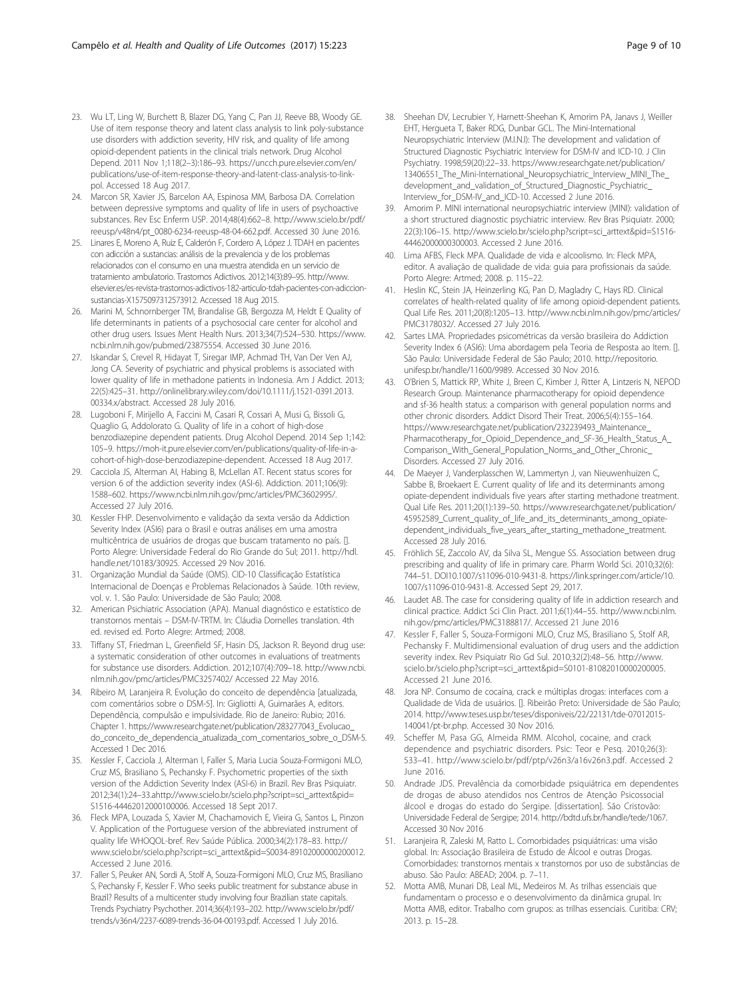- <span id="page-8-0"></span>23. Wu LT, Ling W, Burchett B, Blazer DG, Yang C, Pan JJ, Reeve BB, Woody GE. Use of item response theory and latent class analysis to link poly-substance use disorders with addiction severity, HIV risk, and quality of life among opioid-dependent patients in the clinical trials network. Drug Alcohol Depend. 2011 Nov 1;118(2–3):186–93. [https://uncch.pure.elsevier.com/en/](https://uncch.pure.elsevier.com/en/publications/use-of-item-response-theory-and-latent-class-analysis-to-link-pol) [publications/use-of-item-response-theory-and-latent-class-analysis-to-link](https://uncch.pure.elsevier.com/en/publications/use-of-item-response-theory-and-latent-class-analysis-to-link-pol)[pol.](https://uncch.pure.elsevier.com/en/publications/use-of-item-response-theory-and-latent-class-analysis-to-link-pol) Accessed 18 Aug 2017.
- 24. Marcon SR, Xavier JS, Barcelon AA, Espinosa MM, Barbosa DA. Correlation between depressive symptoms and quality of life in users of psychoactive substances. Rev Esc Enferm USP. 2014;48(4):662–8. [http://www.scielo.br/pdf/](http://www.scielo.br/pdf/reeusp/v48n4/pt_0080-6234-reeusp-48-04-662.pdf) [reeusp/v48n4/pt\\_0080-6234-reeusp-48-04-662.pdf.](http://www.scielo.br/pdf/reeusp/v48n4/pt_0080-6234-reeusp-48-04-662.pdf) Accessed 30 June 2016.
- 25. Linares E, Moreno A, Ruiz E, Calderón F, Cordero A, López J. TDAH en pacientes con adicción a sustancias: análisis de la prevalencia y de los problemas relacionados con el consumo en una muestra atendida en un servicio de tratamiento ambulatorio. Trastornos Adictivos. 2012;14(3):89–95. [http://www.](http://www.elsevier.es/es-revista-trastornos-adictivos-182-articulo-tdah-pacientes-con-adiccion-sustancias-X1575097312573912) [elsevier.es/es-revista-trastornos-adictivos-182-articulo-tdah-pacientes-con-adiccion](http://www.elsevier.es/es-revista-trastornos-adictivos-182-articulo-tdah-pacientes-con-adiccion-sustancias-X1575097312573912)[sustancias-X1575097312573912](http://www.elsevier.es/es-revista-trastornos-adictivos-182-articulo-tdah-pacientes-con-adiccion-sustancias-X1575097312573912). Accessed 18 Aug 2015.
- 26. Marini M, Schnornberger TM, Brandalise GB, Bergozza M, Heldt E Quality of life determinants in patients of a psychosocial care center for alcohol and other drug users. Issues Ment Health Nurs. 2013;34(7):524–530. [https://www.](https://www.ncbi.nlm.nih.gov/pubmed/23875554) [ncbi.nlm.nih.gov/pubmed/23875554](https://www.ncbi.nlm.nih.gov/pubmed/23875554). Accessed 30 June 2016.
- 27. Iskandar S, Crevel R, Hidayat T, Siregar IMP, Achmad TH, Van Der Ven AJ, Jong CA. Severity of psychiatric and physical problems is associated with lower quality of life in methadone patients in Indonesia. Am J Addict. 2013; 22(5):425–31. [http://onlinelibrary.wiley.com/doi/10.1111/j.1521-0391.2013.](http://onlinelibrary.wiley.com/doi/10.1111/j.1521-0391.2013.00334.x/abstract) [00334.x/abstract.](http://onlinelibrary.wiley.com/doi/10.1111/j.1521-0391.2013.00334.x/abstract) Accessed 28 July 2016.
- 28. Lugoboni F, Mirijello A, Faccini M, Casari R, Cossari A, Musi G, Bissoli G, Quaglio G, Addolorato G. Quality of life in a cohort of high-dose benzodiazepine dependent patients. Drug Alcohol Depend. 2014 Sep 1;142: 105–9. [https://moh-it.pure.elsevier.com/en/publications/quality-of-life-in-a](https://moh-it.pure.elsevier.com/en/publications/quality-of-life-in-a-cohort-of-high-dose-benzodiazepine-dependent)[cohort-of-high-dose-benzodiazepine-dependent](https://moh-it.pure.elsevier.com/en/publications/quality-of-life-in-a-cohort-of-high-dose-benzodiazepine-dependent). Accessed 18 Aug 2017.
- 29. Cacciola JS, Alterman AI, Habing B, McLellan AT. Recent status scores for version 6 of the addiction severity index (ASI-6). Addiction. 2011;106(9): 1588–602.<https://www.ncbi.nlm.nih.gov/pmc/articles/PMC3602995/>. Accessed 27 July 2016.
- 30. Kessler FHP. Desenvolvimento e validação da sexta versão da Addiction Severity Index (ASI6) para o Brasil e outras análises em uma amostra multicêntrica de usuários de drogas que buscam tratamento no país. []. Porto Alegre: Universidade Federal do Rio Grande do Sul; 2011. [http://hdl.](http://hdl.handle.net/10183/30925) [handle.net/10183/30925.](http://hdl.handle.net/10183/30925) Accessed 29 Nov 2016.
- 31. Organização Mundial da Saúde (OMS). CID-10 Classificação Estatística Internacional de Doenças e Problemas Relacionados à Saúde. 10th review, vol. v. 1. São Paulo: Universidade de São Paulo; 2008.
- 32. American Psichiatric Association (APA). Manual diagnóstico e estatístico de transtornos mentais – DSM-IV-TRTM. In: Cláudia Dornelles translation. 4th ed. revised ed. Porto Alegre: Artmed; 2008.
- 33. Tiffany ST, Friedman L, Greenfield SF, Hasin DS, Jackson R. Beyond drug use: a systematic consideration of other outcomes in evaluations of treatments for substance use disorders. Addiction. 2012;107(4):709–18. [http://www.ncbi.](http://www.ncbi.nlm.nih.gov/pmc/articles/PMC3257402/) [nlm.nih.gov/pmc/articles/PMC3257402/](http://www.ncbi.nlm.nih.gov/pmc/articles/PMC3257402/) Accessed 22 May 2016.
- 34. Ribeiro M, Laranjeira R. Evolução do conceito de dependência [atualizada, com comentários sobre o DSM-5]. In: Gigliotti A, Guimarães A, editors. Dependência, compulsão e impulsividade. Rio de Janeiro: Rubio; 2016. Chapter 1. [https://www.researchgate.net/publication/283277043\\_Evolucao\\_](https://www.researchgate.net/publication/283277043_Evolucao_do_conceito_de_dependencia_atualizada_com_comentarios_sobre_o_DSM-5) [do\\_conceito\\_de\\_dependencia\\_atualizada\\_com\\_comentarios\\_sobre\\_o\\_DSM-5.](https://www.researchgate.net/publication/283277043_Evolucao_do_conceito_de_dependencia_atualizada_com_comentarios_sobre_o_DSM-5) Accessed 1 Dec 2016.
- 35. Kessler F, Cacciola J, Alterman I, Faller S, Maria Lucia Souza-Formigoni MLO, Cruz MS, Brasiliano S, Pechansky F. Psychometric properties of the sixth version of the Addiction Severity Index (ASI-6) in Brazil. Rev Bras Psiquiatr. 2012;34(1):24–33.ahttp://www.scielo.br/scielo.php?script=sci\_arttext&pid= S1516-44462012000100006. Accessed 18 Sept 2017.
- 36. Fleck MPA, Louzada S, Xavier M, Chachamovich E, Vieira G, Santos L, Pinzon V. Application of the Portuguese version of the abbreviated instrument of quality life WHOQOL-bref. Rev Saúde Pública. 2000;34(2):178–83. [http://](http://www.scielo.br/scielo.php?script=sci_arttext&pid=S0034-89102000000200012) [www.scielo.br/scielo.php?script=sci\\_arttext&pid=S0034-89102000000200012.](http://www.scielo.br/scielo.php?script=sci_arttext&pid=S0034-89102000000200012) Accessed 2 June 2016.
- 37. Faller S, Peuker AN, Sordi A, Stolf A, Souza-Formigoni MLO, Cruz MS, Brasiliano S, Pechansky F, Kessler F. Who seeks public treatment for substance abuse in Brazil? Results of a multicenter study involving four Brazilian state capitals. Trends Psychiatry Psychother. 2014;36(4):193–202. [http://www.scielo.br/pdf/](http://www.scielo.br/pdf/trends/v36n4/2237-6089-trends-36-04-00193.pdf) [trends/v36n4/2237-6089-trends-36-04-00193.pdf.](http://www.scielo.br/pdf/trends/v36n4/2237-6089-trends-36-04-00193.pdf) Accessed 1 July 2016.
- 38. Sheehan DV, Lecrubier Y, Harnett-Sheehan K, Amorim PA, Janavs J, Weiller EHT, Hergueta T, Baker RDG, Dunbar GCL. The Mini-International Neuropsychiatric Interview (M.I.N.I): The development and validation of Structured Diagnostic Psychiatric Interview for DSM-IV and ICD-10. J Clin Psychiatry. 1998;59(20):22–33. [https://www.researchgate.net/publication/](https://www.researchgate.net/publication/13406551_The_Mini-International_Neuropsychiatric_Interview_MINI_The_development_and_validation_of_Structured_Diagnostic_Psychiatric_Interview_for_DSM-IV_and_ICD-10) [13406551\\_The\\_Mini-International\\_Neuropsychiatric\\_Interview\\_MINI\\_The\\_](https://www.researchgate.net/publication/13406551_The_Mini-International_Neuropsychiatric_Interview_MINI_The_development_and_validation_of_Structured_Diagnostic_Psychiatric_Interview_for_DSM-IV_and_ICD-10) [development\\_and\\_validation\\_of\\_Structured\\_Diagnostic\\_Psychiatric\\_](https://www.researchgate.net/publication/13406551_The_Mini-International_Neuropsychiatric_Interview_MINI_The_development_and_validation_of_Structured_Diagnostic_Psychiatric_Interview_for_DSM-IV_and_ICD-10) [Interview\\_for\\_DSM-IV\\_and\\_ICD-10](https://www.researchgate.net/publication/13406551_The_Mini-International_Neuropsychiatric_Interview_MINI_The_development_and_validation_of_Structured_Diagnostic_Psychiatric_Interview_for_DSM-IV_and_ICD-10). Accessed 2 June 2016.
- 39. Amorim P. MINI international neuropsychiatric interview (MINI): validation of a short structured diagnostic psychiatric interview. Rev Bras Psiquiatr. 2000; 22(3):106–15. [http://www.scielo.br/scielo.php?script=sci\\_arttext&pid=S1516-](http://www.scielo.br/scielo.php?script=sci_arttext&pid=S1516-44462000000300003) [44462000000300003.](http://www.scielo.br/scielo.php?script=sci_arttext&pid=S1516-44462000000300003) Accessed 2 June 2016.
- 40. Lima AFBS, Fleck MPA. Qualidade de vida e alcoolismo. In: Fleck MPA, editor. A avaliação de qualidade de vida: guia para profissionais da saúde. Porto Alegre: Artmed; 2008. p. 115–22.
- 41. Heslin KC, Stein JA, Heinzerling KG, Pan D, Magladry C, Hays RD. Clinical correlates of health-related quality of life among opioid-dependent patients. Qual Life Res. 2011;20(8):1205–13. [http://www.ncbi.nlm.nih.gov/pmc/articles/](http://www.ncbi.nlm.nih.gov/pmc/articles/PMC3178032/) [PMC3178032/](http://www.ncbi.nlm.nih.gov/pmc/articles/PMC3178032/). Accessed 27 July 2016.
- 42. Sartes LMA. Propriedades psicométricas da versão brasileira do Addiction Severity Index 6 (ASI6): Uma abordagem pela Teoria de Resposta ao Item. []. São Paulo: Universidade Federal de São Paulo; 2010. [http://repositorio.](http://repositorio.unifesp.br/handle/11600/9989) [unifesp.br/handle/11600/9989](http://repositorio.unifesp.br/handle/11600/9989). Accessed 30 Nov 2016.
- 43. O'Brien S, Mattick RP, White J, Breen C, Kimber J, Ritter A, Lintzeris N, NEPOD Research Group. Maintenance pharmacotherapy for opioid dependence and sf-36 health status: a comparison with general population norms and other chronic disorders. Addict Disord Their Treat. 2006;5(4):155–164. [https://www.researchgate.net/publication/232239493\\_Maintenance\\_](https://www.researchgate.net/publication/232239493_Maintenance_Pharmacotherapy_for_Opioid_Dependence_and_SF-36_Health_Status_A_Comparison_With_General_Population_Norms_and_Other_Chronic_Disorders) [Pharmacotherapy\\_for\\_Opioid\\_Dependence\\_and\\_SF-36\\_Health\\_Status\\_A\\_](https://www.researchgate.net/publication/232239493_Maintenance_Pharmacotherapy_for_Opioid_Dependence_and_SF-36_Health_Status_A_Comparison_With_General_Population_Norms_and_Other_Chronic_Disorders) [Comparison\\_With\\_General\\_Population\\_Norms\\_and\\_Other\\_Chronic\\_](https://www.researchgate.net/publication/232239493_Maintenance_Pharmacotherapy_for_Opioid_Dependence_and_SF-36_Health_Status_A_Comparison_With_General_Population_Norms_and_Other_Chronic_Disorders) [Disorders](https://www.researchgate.net/publication/232239493_Maintenance_Pharmacotherapy_for_Opioid_Dependence_and_SF-36_Health_Status_A_Comparison_With_General_Population_Norms_and_Other_Chronic_Disorders). Accessed 27 July 2016.
- 44. De Maeyer J, Vanderplasschen W, Lammertyn J, van Nieuwenhuizen C, Sabbe B, Broekaert E. Current quality of life and its determinants among opiate-dependent individuals five years after starting methadone treatment. Qual Life Res. 2011;20(1):139–50. [https://www.researchgate.net/publication/](https://www.researchgate.net/publication/45952589_Current_quality_of_life_and_its_determinants_among_opiate-dependent_individuals_five_years_after_starting_methadone_treatment) [45952589\\_Current\\_quality\\_of\\_life\\_and\\_its\\_determinants\\_among\\_opiate](https://www.researchgate.net/publication/45952589_Current_quality_of_life_and_its_determinants_among_opiate-dependent_individuals_five_years_after_starting_methadone_treatment)[dependent\\_individuals\\_five\\_years\\_after\\_starting\\_methadone\\_treatment.](https://www.researchgate.net/publication/45952589_Current_quality_of_life_and_its_determinants_among_opiate-dependent_individuals_five_years_after_starting_methadone_treatment) Accessed 28 July 2016.
- 45. Fröhlich SE, Zaccolo AV, da Silva SL, Mengue SS. Association between drug prescribing and quality of life in primary care. Pharm World Sci. 2010;32(6): 744–51. DOI[10.1007/s11096-010-9431-8.](http://dx.doi.org/10.1007/s11096-010-9431-8) [https://link.springer.com/article/10.](https://link.springer.com/article/10.1007/s11096-010-9431-8) [1007/s11096-010-9431-8](https://link.springer.com/article/10.1007/s11096-010-9431-8). Accessed Sept 29, 2017.
- 46. Laudet AB. The case for considering quality of life in addiction research and clinical practice. Addict Sci Clin Pract. 2011;6(1):44–55. [http://www.ncbi.nlm.](http://www.ncbi.nlm.nih.gov/pmc/articles/PMC3188817/) [nih.gov/pmc/articles/PMC3188817/.](http://www.ncbi.nlm.nih.gov/pmc/articles/PMC3188817/) Accessed 21 June 2016
- 47. Kessler F, Faller S, Souza-Formigoni MLO, Cruz MS, Brasiliano S, Stolf AR, Pechansky F. Multidimensional evaluation of drug users and the addiction severity index. Rev Psiquiatr Rio Gd Sul. 2010;32(2):48–56. [http://www.](http://www.scielo.br/scielo.php?script=sci_arttext&pid=S0101-81082010000200005) [scielo.br/scielo.php?script=sci\\_arttext&pid=S0101-81082010000200005](http://www.scielo.br/scielo.php?script=sci_arttext&pid=S0101-81082010000200005). Accessed 21 June 2016.
- 48. Jora NP. Consumo de cocaína, crack e múltiplas drogas: interfaces com a Qualidade de Vida de usuários. []. Ribeirão Preto: Universidade de São Paulo; 2014. [http://www.teses.usp.br/teses/disponiveis/22/22131/tde-07012015-](http://www.teses.usp.br/teses/disponiveis/22/22131/tde-07012015-140041/pt-br.php) [140041/pt-br.php](http://www.teses.usp.br/teses/disponiveis/22/22131/tde-07012015-140041/pt-br.php). Accessed 30 Nov 2016.
- 49. Scheffer M, Pasa GG, Almeida RMM. Alcohol, cocaine, and crack dependence and psychiatric disorders. Psic: Teor e Pesq. 2010;26(3): 533–41.<http://www.scielo.br/pdf/ptp/v26n3/a16v26n3.pdf>. Accessed 2 June 2016.
- 50. Andrade JDS. Prevalência da comorbidade psiquiátrica em dependentes de drogas de abuso atendidos nos Centros de Atenção Psicossocial álcool e drogas do estado do Sergipe. [dissertation]. São Cristovão: Universidade Federal de Sergipe; 2014. [http://bdtd.ufs.br/handle/tede/1067.](http://bdtd.ufs.br/handle/tede/1067) Accessed 30 Nov 2016
- 51. Laranjeira R, Zaleski M, Ratto L. Comorbidades psiquiátricas: uma visão global. In: Associação Brasileira de Estudo de Álcool e outras Drogas. Comorbidades: transtornos mentais x transtornos por uso de substâncias de abuso. São Paulo: ABEAD; 2004. p. 7–11.
- 52. Motta AMB, Munari DB, Leal ML, Medeiros M. As trilhas essenciais que fundamentam o processo e o desenvolvimento da dinâmica grupal. In: Motta AMB, editor. Trabalho com grupos: as trilhas essenciais. Curitiba: CRV; 2013. p. 15–28.